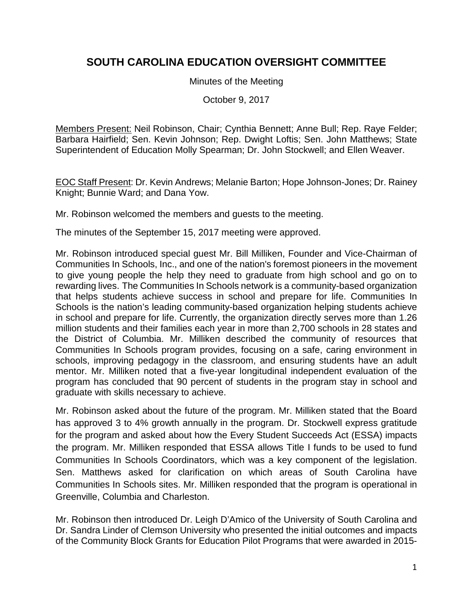# **SOUTH CAROLINA EDUCATION OVERSIGHT COMMITTEE**

Minutes of the Meeting

October 9, 2017

Members Present: Neil Robinson, Chair; Cynthia Bennett; Anne Bull; Rep. Raye Felder; Barbara Hairfield; Sen. Kevin Johnson; Rep. Dwight Loftis; Sen. John Matthews; State Superintendent of Education Molly Spearman; Dr. John Stockwell; and Ellen Weaver.

EOC Staff Present: Dr. Kevin Andrews; Melanie Barton; Hope Johnson-Jones; Dr. Rainey Knight; Bunnie Ward; and Dana Yow.

Mr. Robinson welcomed the members and guests to the meeting.

The minutes of the September 15, 2017 meeting were approved.

Mr. Robinson introduced special guest Mr. Bill Milliken, Founder and Vice-Chairman of Communities In Schools, Inc., and one of the nation's foremost pioneers in the movement to give young people the help they need to graduate from high school and go on to rewarding lives. The Communities In Schools network is a community-based organization that helps students achieve success in school and prepare for life. Communities In Schools is the nation's leading community-based organization helping students achieve in school and prepare for life. Currently, the organization directly serves more than 1.26 million students and their families each year in more than 2,700 schools in 28 states and the District of Columbia. Mr. Milliken described the community of resources that Communities In Schools program provides, focusing on a safe, caring environment in schools, improving pedagogy in the classroom, and ensuring students have an adult mentor. Mr. Milliken noted that a five-year longitudinal independent evaluation of the program has concluded that 90 percent of students in the program stay in school and graduate with skills necessary to achieve.

Mr. Robinson asked about the future of the program. Mr. Milliken stated that the Board has approved 3 to 4% growth annually in the program. Dr. Stockwell express gratitude for the program and asked about how the Every Student Succeeds Act (ESSA) impacts the program. Mr. Milliken responded that ESSA allows Title I funds to be used to fund Communities In Schools Coordinators, which was a key component of the legislation. Sen. Matthews asked for clarification on which areas of South Carolina have Communities In Schools sites. Mr. Milliken responded that the program is operational in Greenville, Columbia and Charleston.

Mr. Robinson then introduced Dr. Leigh D'Amico of the University of South Carolina and Dr. Sandra Linder of Clemson University who presented the initial outcomes and impacts of the Community Block Grants for Education Pilot Programs that were awarded in 2015-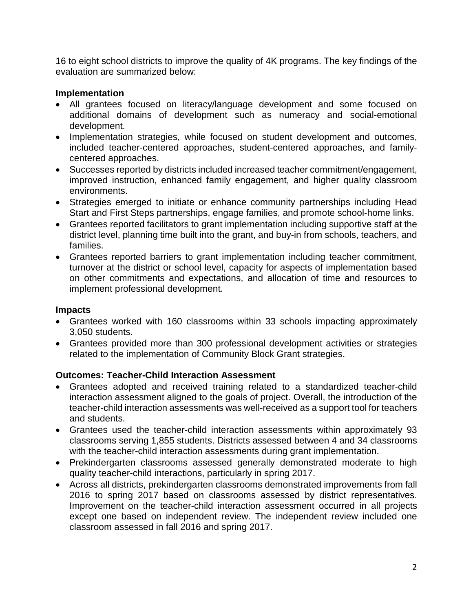16 to eight school districts to improve the quality of 4K programs. The key findings of the evaluation are summarized below:

## **Implementation**

- All grantees focused on literacy/language development and some focused on additional domains of development such as numeracy and social-emotional development.
- Implementation strategies, while focused on student development and outcomes, included teacher-centered approaches, student-centered approaches, and familycentered approaches.
- Successes reported by districts included increased teacher commitment/engagement, improved instruction, enhanced family engagement, and higher quality classroom environments.
- Strategies emerged to initiate or enhance community partnerships including Head Start and First Steps partnerships, engage families, and promote school-home links.
- Grantees reported facilitators to grant implementation including supportive staff at the district level, planning time built into the grant, and buy-in from schools, teachers, and families.
- Grantees reported barriers to grant implementation including teacher commitment, turnover at the district or school level, capacity for aspects of implementation based on other commitments and expectations, and allocation of time and resources to implement professional development.

### **Impacts**

- Grantees worked with 160 classrooms within 33 schools impacting approximately 3,050 students.
- Grantees provided more than 300 professional development activities or strategies related to the implementation of Community Block Grant strategies.

## **Outcomes: Teacher-Child Interaction Assessment**

- Grantees adopted and received training related to a standardized teacher-child interaction assessment aligned to the goals of project. Overall, the introduction of the teacher-child interaction assessments was well-received as a support tool for teachers and students.
- Grantees used the teacher-child interaction assessments within approximately 93 classrooms serving 1,855 students. Districts assessed between 4 and 34 classrooms with the teacher-child interaction assessments during grant implementation.
- Prekindergarten classrooms assessed generally demonstrated moderate to high quality teacher-child interactions, particularly in spring 2017.
- Across all districts, prekindergarten classrooms demonstrated improvements from fall 2016 to spring 2017 based on classrooms assessed by district representatives. Improvement on the teacher-child interaction assessment occurred in all projects except one based on independent review. The independent review included one classroom assessed in fall 2016 and spring 2017.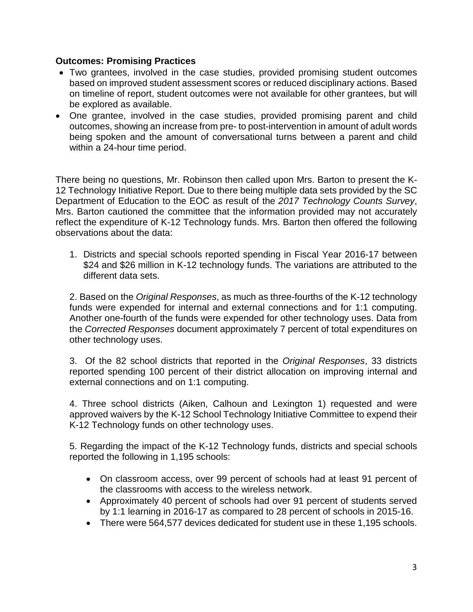### **Outcomes: Promising Practices**

- Two grantees, involved in the case studies, provided promising student outcomes based on improved student assessment scores or reduced disciplinary actions. Based on timeline of report, student outcomes were not available for other grantees, but will be explored as available.
- One grantee, involved in the case studies, provided promising parent and child outcomes, showing an increase from pre- to post-intervention in amount of adult words being spoken and the amount of conversational turns between a parent and child within a 24-hour time period.

There being no questions, Mr. Robinson then called upon Mrs. Barton to present the K-12 Technology Initiative Report. Due to there being multiple data sets provided by the SC Department of Education to the EOC as result of the *2017 Technology Counts Survey*, Mrs. Barton cautioned the committee that the information provided may not accurately reflect the expenditure of K-12 Technology funds. Mrs. Barton then offered the following observations about the data:

1. Districts and special schools reported spending in Fiscal Year 2016-17 between \$24 and \$26 million in K-12 technology funds. The variations are attributed to the different data sets.

2. Based on the *Original Responses*, as much as three-fourths of the K-12 technology funds were expended for internal and external connections and for 1:1 computing. Another one-fourth of the funds were expended for other technology uses. Data from the *Corrected Responses* document approximately 7 percent of total expenditures on other technology uses.

3. Of the 82 school districts that reported in the *Original Responses*, 33 districts reported spending 100 percent of their district allocation on improving internal and external connections and on 1:1 computing.

4. Three school districts (Aiken, Calhoun and Lexington 1) requested and were approved waivers by the K-12 School Technology Initiative Committee to expend their K-12 Technology funds on other technology uses.

5. Regarding the impact of the K-12 Technology funds, districts and special schools reported the following in 1,195 schools:

- On classroom access, over 99 percent of schools had at least 91 percent of the classrooms with access to the wireless network.
- Approximately 40 percent of schools had over 91 percent of students served by 1:1 learning in 2016-17 as compared to 28 percent of schools in 2015-16.
- There were 564,577 devices dedicated for student use in these 1,195 schools.